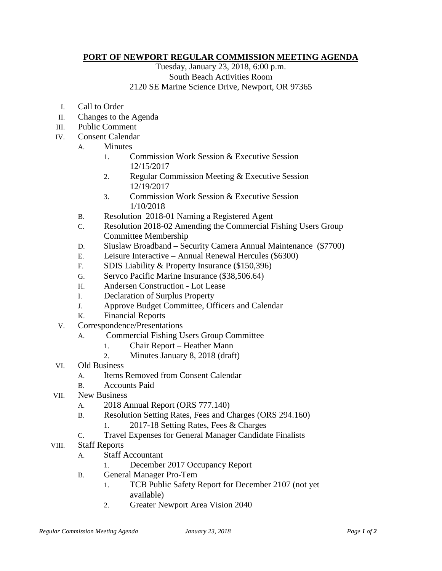## **PORT OF NEWPORT REGULAR COMMISSION MEETING AGENDA**

Tuesday, January 23, 2018, 6:00 p.m. South Beach Activities Room 2120 SE Marine Science Drive, Newport, OR 97365

- I. Call to Order
- II. Changes to the Agenda
- III. Public Comment
- IV. Consent Calendar
	- A. Minutes
		- 1. Commission Work Session & Executive Session 12/15/2017
		- 2. Regular Commission Meeting & Executive Session 12/19/2017
		- 3. Commission Work Session & Executive Session 1/10/2018
	- B. Resolution 2018-01 Naming a Registered Agent
	- C. Resolution 2018-02 Amending the Commercial Fishing Users Group Committee Membership
	- D. Siuslaw Broadband Security Camera Annual Maintenance (\$7700)
	- E. Leisure Interactive Annual Renewal Hercules (\$6300)
	- F. SDIS Liability & Property Insurance (\$150,396)
	- G. Servco Pacific Marine Insurance (\$38,506.64)
	- H. Andersen Construction Lot Lease
	- I. Declaration of Surplus Property
	- J. Approve Budget Committee, Officers and Calendar
	- K. Financial Reports
- V. Correspondence/Presentations
	- A. Commercial Fishing Users Group Committee
		- 1. Chair Report Heather Mann
		- 2. Minutes January 8, 2018 (draft)
- VI. Old Business
	- A. Items Removed from Consent Calendar
	- B. Accounts Paid
- VII. New Business
	- A. 2018 Annual Report (ORS 777.140)
	- B. Resolution Setting Rates, Fees and Charges (ORS 294.160)
		- 1. 2017-18 Setting Rates, Fees & Charges
	- C. Travel Expenses for General Manager Candidate Finalists
- VIII. Staff Reports
	- A. Staff Accountant
		- 1. December 2017 Occupancy Report
	- B. General Manager Pro-Tem
		- 1. TCB Public Safety Report for December 2107 (not yet available)
		- 2. Greater Newport Area Vision 2040